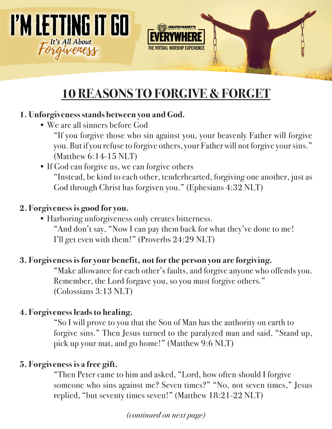



# **10 REASONS TO FORGIVE & FORGET**

### **1. Unforgiveness stands between you and God.**

• We are all sinners before God

"If you forgive those who sin against you, your heavenly Father will forgive you. But if you refuse to forgive others, your Father will not forgive your sins." (Matthew 6:14-15 NLT)

• If God can forgive us, we can forgive others

"Instead, be kind to each other, tenderhearted, forgiving one another, just as God through Christ has forgiven you." (Ephesians 4:32 NLT)

### **2. Forgiveness is good for you.**

• Harboring unforgiveness only creates bitterness. "And don't say, "Now I can pay them back for what they've done to me! I'll get even with them!" (Proverbs 24:29 NLT)

## **3. Forgiveness is for your benefit, not for the person you are forgiving.**

"Make allowance for each other's faults, and forgive anyone who offends you. Remember, the Lord forgave you, so you must forgive others." (Colossians 3:13 NLT)

## **4. Forgiveness leads to healing.**

"So I will prove to you that the Son of Man has the authority on earth to forgive sins." Then Jesus turned to the paralyzed man and said, "Stand up, pick up your mat, and go home!" (Matthew 9:6 NLT)

## **5. Forgiveness is a free gift.**

"Then Peter came to him and asked, "Lord, how often should I forgive someone who sins against me? Seven times?" "No, not seven times," Jesus replied, "but seventy times seven!" (Matthew 18:21-22 NLT)

*(continued on next page)*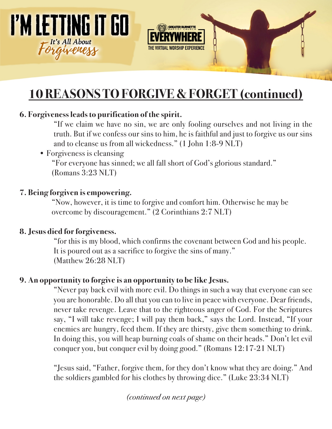



# **10 REASONS TO FORGIVE & FORGET (continued)**

#### **6. Forgiveness leads to purification of the spirit.**

"If we claim we have no sin, we are only fooling ourselves and not living in the truth. But if we confess our sins to him, he is faithful and just to forgive us our sins and to cleanse us from all wickedness." (1 John 1:8-9 NLT)

• Forgiveness is cleansing

"For everyone has sinned; we all fall short of God's glorious standard." (Romans 3:23 NLT)

#### **7. Being forgiven is empowering.**

"Now, however, it is time to forgive and comfort him. Otherwise he may be overcome by discouragement." (2 Corinthians 2:7 NLT)

#### **8. Jesus died for forgiveness.**

"for this is my blood, which confirms the covenant between God and his people. It is poured out as a sacrifice to forgive the sins of many." (Matthew 26:28 NLT)

#### **9. An opportunity to forgive is an opportunity to be like Jesus.**

"Never pay back evil with more evil. Do things in such a way that everyone can see you are honorable. Do all that you can to live in peace with everyone. Dear friends, never take revenge. Leave that to the righteous anger of God. For the Scriptures say, "I will take revenge; I will pay them back," says the Lord. Instead, "If your enemies are hungry, feed them. If they are thirsty, give them something to drink. In doing this, you will heap burning coals of shame on their heads." Don't let evil conquer you, but conquer evil by doing good." (Romans 12:17-21 NLT)

"Jesus said, "Father, forgive them, for they don't know what they are doing." And the soldiers gambled for his clothes by throwing dice." (Luke 23:34 NLT)

*(continued on next page)*